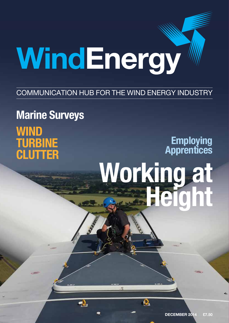# WindEnergy

# COMMUNICATION HUB FOR THE WIND ENERGY INDUSTRY

# **Marine Surveys Wind Turbine Clutter**

# **Working at Height Employing Apprentices**

 $\overline{\mathbf{e}}$ 

2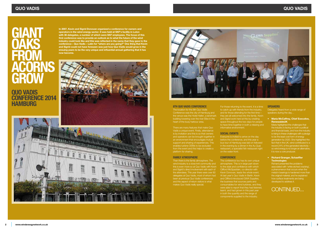# **GIANT oaks from acorns grow**

**Quo Vadis Conference 2014 Hamburg**

**In 2007, Kevin and Sigrid Donovan organized a conference for owners and operators in the wind energy sector. It was held at SKF's facility in Luton with 36 delegates, a number of which were SKF employees. The focus of this first conference was to provide an outlook as to what the future of the wind industry could look like and this was reflected in the name that they gave to the conference – Quo Vadis – Latin for "where are you going?" One thing that Kevin and Sigrid could not have foreseen was just how Quo Vadis would grow in the ensuing years to be the very unique and influential annual gathering that it has now become.**







For those returning to the event, it is a time to catch up with friends from the industry, and for those attending for the first time – they are all welcomed into the family. Kevin and Sigrid work hard at this by creating space throughout the two days for people to have time together in both a relaxing and informative environment.

# **Social events**

Everyone is invited to arrive on the day before the conference, and this year a bus tour of Hamburg was laid on followed in the evening by a dinner in the Au Quai restaurant, a specialist fish restaurant right on the water front.

# **Conference**

The conference too has its own unique atmosphere. This is in large part down to the style and confidence with which Clifford McSpadden, co-director with Kevin Donovan, leads the whole event. At last year's Quo Vadis in Berlin, Kevin and Clifford introduced GWA Supplies, the business that sources parts and consumables for wind turbines, and they were able to report that they had listened, learnt, and had grown in this past year in both the quantity and the range of components supplied to the industry.

Maria highlighted the challenges that the industry is facing on both a political and financial basis, and how the industry is rising to these challenges with a pledge to be the least cost form of energy generation by 2020. She highlighted the fact that in the UK, wind contributed to a record 24% of the generated electricity – so wind energy is no longer an alternative, it is now a core producer.

# **8th Quo Vadis Conference**

The location for the 8th Quo Vadis Conference was the city of Hamburg and the venue was the Hotel Hafen, a landmark building towering over the river Elbe in the heart of the busy harbour area.

There are many features that make Quo Vadis a unique event. Firstly, attendance is by invitation and this is so that owners and operators can be brought together in an environment that encourages mutual support and sharing of experiences. This enables turbine OEMs to be excluded from the event and this helps to create a platform for sharing.

## **Family atmosphere**

Then there is the family atmosphere. The wind industry is a close knit community and this is even more so at Quo Vadis with Kevin and Sigrid's direct involvement with each of the attendees. This year there were over 80 delegates at Quo Vadis, most of whom had been at previous Quo Vadis conferences and this aspect of return visitors is what makes Quo Vadis really special.

# **Speakers**

Delegates heard from a wide range of speakers during the day…

• **Maria McCaffrey, Chief Executive, RenewableUK**

# • **Richard Granger, Schaeffler Technologies**

Richard presented the problems associated with 'white etched cracking', a phenomenon that occurs when the metal in bearings is hardened more than the original material, and he explained how surface treatments are being developed to address it.

# CONTINUED...